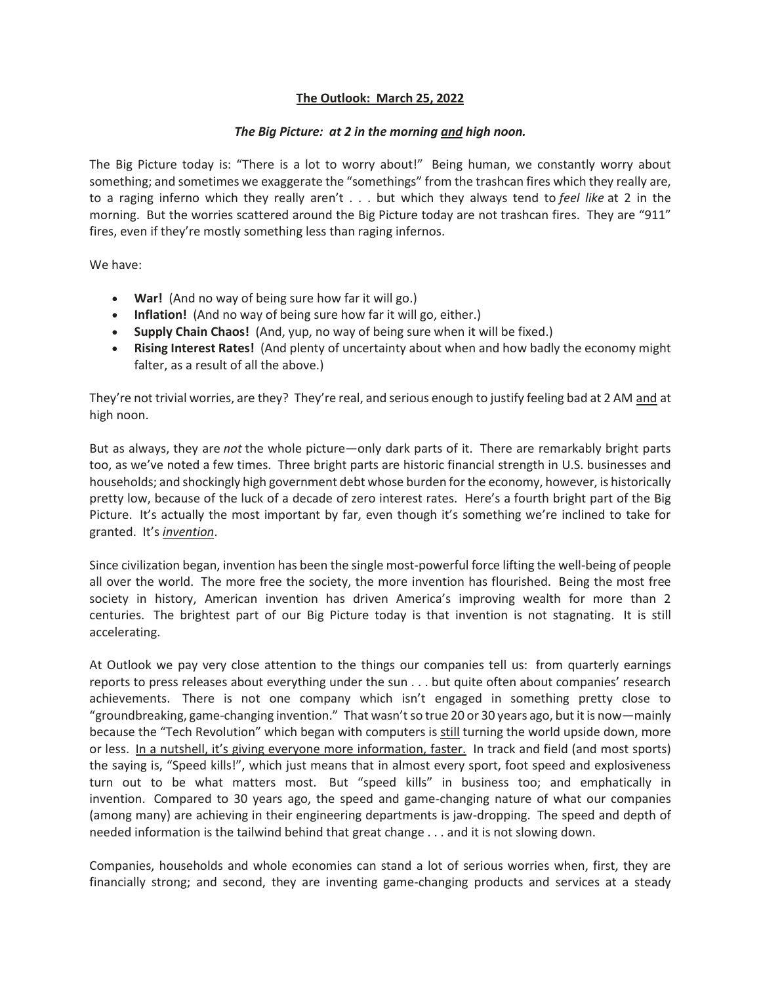## **The Outlook: March 25, 2022**

## *The Big Picture: at 2 in the morning and high noon.*

The Big Picture today is: "There is a lot to worry about!" Being human, we constantly worry about something; and sometimes we exaggerate the "somethings" from the trashcan fires which they really are, to a raging inferno which they really aren't . . . but which they always tend to *feel like* at 2 in the morning. But the worries scattered around the Big Picture today are not trashcan fires. They are "911" fires, even if they're mostly something less than raging infernos.

We have:

- **War!** (And no way of being sure how far it will go.)
- **Inflation!** (And no way of being sure how far it will go, either.)
- **Supply Chain Chaos!** (And, yup, no way of being sure when it will be fixed.)
- **Rising Interest Rates!** (And plenty of uncertainty about when and how badly the economy might falter, as a result of all the above.)

They're not trivial worries, are they? They're real, and serious enough to justify feeling bad at 2 AM and at high noon.

But as always, they are *not* the whole picture—only dark parts of it. There are remarkably bright parts too, as we've noted a few times. Three bright parts are historic financial strength in U.S. businesses and households; and shockingly high government debt whose burden for the economy, however, is historically pretty low, because of the luck of a decade of zero interest rates. Here's a fourth bright part of the Big Picture. It's actually the most important by far, even though it's something we're inclined to take for granted. It's *invention*.

Since civilization began, invention has been the single most-powerful force lifting the well-being of people all over the world. The more free the society, the more invention has flourished. Being the most free society in history, American invention has driven America's improving wealth for more than 2 centuries. The brightest part of our Big Picture today is that invention is not stagnating. It is still accelerating.

At Outlook we pay very close attention to the things our companies tell us: from quarterly earnings reports to press releases about everything under the sun . . . but quite often about companies' research achievements. There is not one company which isn't engaged in something pretty close to "groundbreaking, game-changing invention." That wasn't so true 20 or 30 years ago, but it is now—mainly because the "Tech Revolution" which began with computers is still turning the world upside down, more or less. In a nutshell, it's giving everyone more information, faster. In track and field (and most sports) the saying is, "Speed kills!", which just means that in almost every sport, foot speed and explosiveness turn out to be what matters most. But "speed kills" in business too; and emphatically in invention. Compared to 30 years ago, the speed and game-changing nature of what our companies (among many) are achieving in their engineering departments is jaw-dropping. The speed and depth of needed information is the tailwind behind that great change . . . and it is not slowing down.

Companies, households and whole economies can stand a lot of serious worries when, first, they are financially strong; and second, they are inventing game-changing products and services at a steady